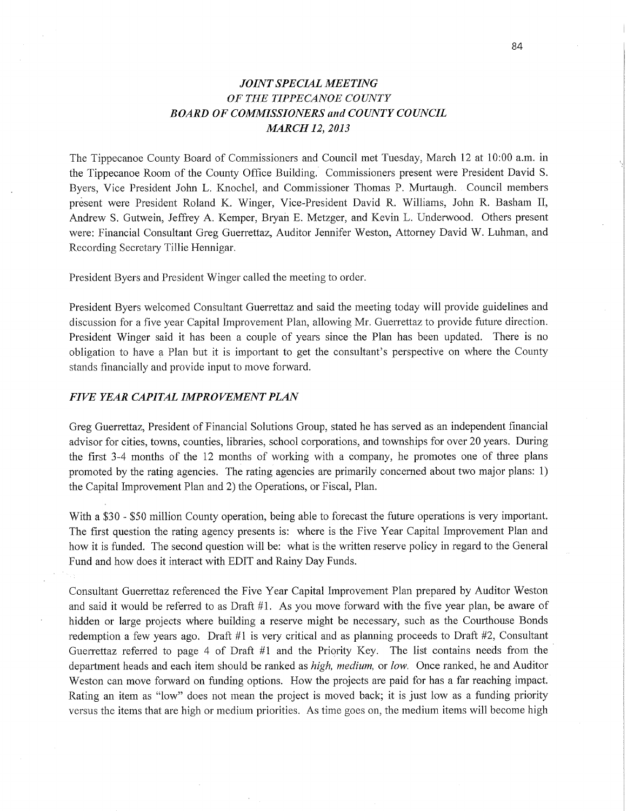## *JOINT SPECIAL MEETING*  OF THE *TIPPECANOE COUNTY BOARD* OF *COMMISSIONERS* and *COUNTY COUNCIL MARCH* 12, *2013*

The Tippecanoe County Board of Commissioners and Council met Tuesday, March 12 at 10:00 am. in the Tippecanoe Room of the County Office Building. Commissioners present were President David S. Byers, Vice President John L. Knochel, and Commissioner Thomas P. Murtaugh. Council members present were President Roland K. Winger, Vice-President David R. Williams, John R. Basham II, Andrew S. Gutwein, Jeffrey A. Kemper, Bryan E. Metzger, and Kevin L. Underwood. Others presen<sup>t</sup> were: Financial Consultant Greg Guerrettaz, Auditor Jennifer Weston, Attorney David W. Luhman, and Recording Secretary Tillie Hennigar.

President Byers and President Winger called the meeting to order.

President Byers welcomed Consultant Guerrettaz and said the meeting today will provide guidelines and discussion for a five year **Capital** Improvement Plan, allowing Mr. Guerrettaz to provide future direction. Presideht Winger said it has been a couple of years since the Plan has been updated. There is no obligation to have a Plan but it is important to get the consultant's perspective on where the County stands financially and provide input to move forward.

## *FIVE YEAR CAPITAL IMPROVEMENT PLAN*

Greg Guerrettaz, President of Financial Solutions Group, stated he has served as an independent **financial**  adviser for cities, towns, counties, libraries, school corporations, and townships for over 20 years. During the first 3-4 months of the 12 months of working with a company, he promotes one of three plans promoted by the rating agencies. The rating agencies are primarily concerned about two major plans: 1) the Capital Improvement Plan and 2) the Operations, or Fiscal, **Plan.** 

With a \$30 **-** \$50 million County operation, being able to forecast the future operations is very **important.**  The first question the rating agency presents is: Where is the Five Year Capital Improvement Plan and how it is funded. The second question will be: what is the written reserve policy in regard to the General Fund and how does it interact with EDIT and Rainy Day Funds.

Consultant Guerrettaz referenced the Five Year Capital Improvement Plan prepared by Auditor Weston and said it would be referred to as Draft #1. As you move forward with the five year plan, be aware of hidden or large projects where building **<sup>a</sup>**reserve might be necessary, such as the Courthouse Bonds redemption a few years ago. Draft #1 is very critical and as planning proceeds to Draft #2, Consultant Guerrettaz referred to page 4 of Draft #1 and the Priority Key. The list contains needs from the department heads and each item should be ranked as *high, medium,* or *low.* Once ranked, he and Auditor Weston can move forward on funding options. How the projects are paid for has a far reaching impact. Rating an item as "low" does not mean the project is moved back; it is just low as a funding priority versus the items that are high or medium priorities. As time goes on, the medium items will become high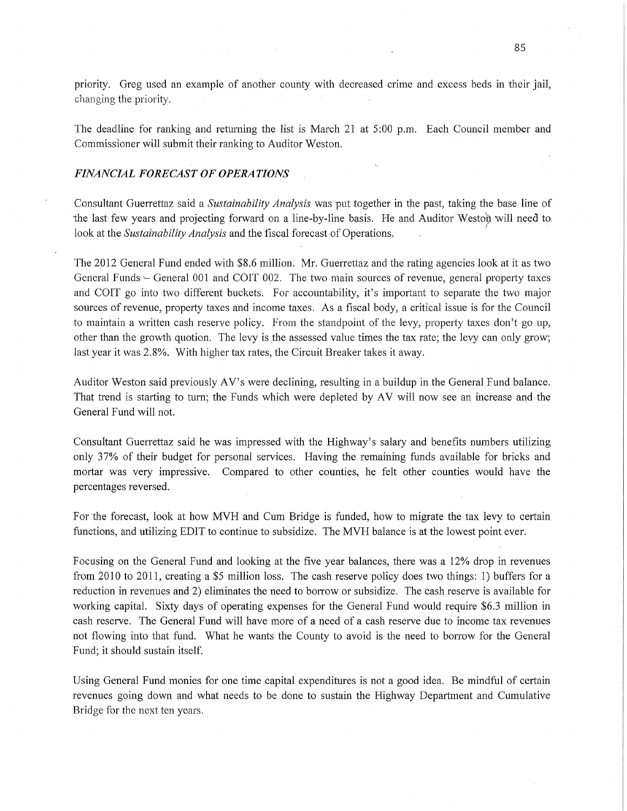priority. Greg used an example of another county with decreased crime and excess beds in their jail, changing the priority. '

The deadline for ranking and returning the list is March 21 at 5:00 pm. Each Council member and Commissioner will submit their ranking to Auditor Weston.

## *FINANCIAL FORECAST* OF *OPERATIONS*

Consultant Guerrettaz said a *Sustainability Analysis* was pu<sup>t</sup>together in the past, taking the base line of the last few years and projecting forward on a line-by-line basis. He and Auditor Weston will need to. look at the *Sustainability Analysis* and the fiscal forecast of Operations.

The 2012 General Fund ended with \$8.6 million. Mr. Guerrettaz and the rating agencies look at it as two General Funds – General 001 and COIT 002. The two main sources of revenue, general property taxes and COIT go into two different buckets. For accountability, **it's** important to separate the two major sources of revenue, property taxes and income taxes. As a fiscal body, a critical issue is for the Council to maintain a written cash reserve policy. From the standpoint of the levy, property taxes don't go up, other than the growth quotion. The levy is the assessed value times the tax rate; the levy can only grow; last year it was 2.8%. With higher tax rates, the Circuit Breaker takes it away.

Auditor Weston said previously AV's were declining, resulting in a buildup in the General Fund balance. That trend is starting to turn; the Funds which were depleted by AV will now see an increase and the General Fund will not.

Consultant Guerrettaz said he was impressed with the Highway's salary and benefits numbers utilizing only 37% of their budget for personal services. Having the remaining funds available for bricks and mortar was very impressive. Compared to other counties, he felt other counties would have the percentages reversed.

For 'the forecast, look at how MVH and Cum Bridge is funded, how to migrate the tax levy to certain functions, and utilizing EDIT to continue to subsidize. The MVH balance is at the lowest point ever.

Focusing on the General Fund and looking at the five year balances, there was a 12% drop in revenues from 2010 to 2011, creating a \$5 million loss. The cash reserve policy does two things: 1) buffers for <sup>a</sup> reduction in revenues and 2) eliminates the need to borrow or subsidize. The cash reserve is available for working capital. Sixty days of operating expenses for the General Fund would require \$6.3 million in cash reserve. The General Fund will have more of a need of a cash reserve due to income tax revenues not flowing into that fund. What he wants the County to avoid is the need to borrow for the General Fund; it should sustain itself.

Using General Fund monies for one time capital expenditures is not <sup>a</sup>good idea. Be mindful of certain revenues going down and What needs to be done to sustain the Highway Department and Cumulative Bridge for the next ten years.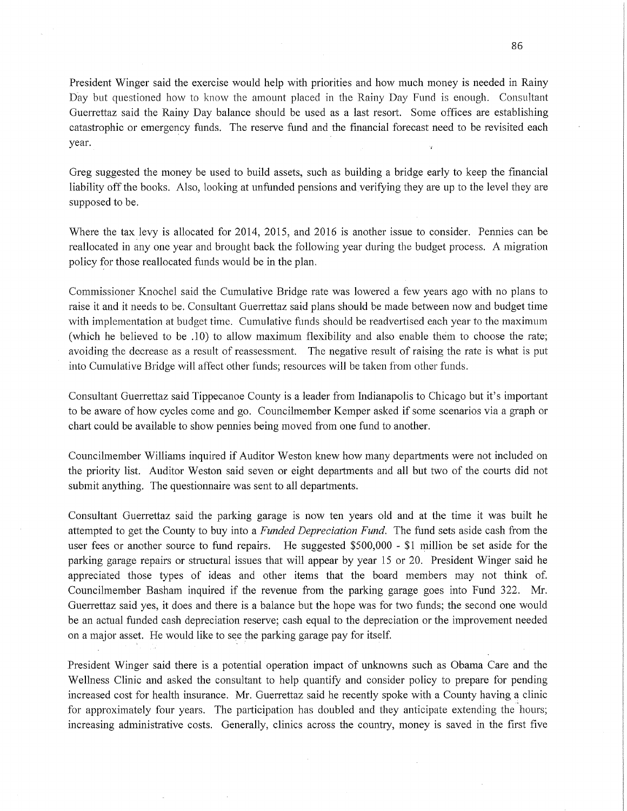President Winger said the exercise would help with priorities and how much money is needed in Rainy Day but questioned how to know the amount placed in the Rainy Day Fund is enough. Consultant Guerrettaz said the Rainy Day balance should be used as a last resort. Some offices are establishing catastrophic or emergency funds. The reserve fund and the financial forecast need to be revisited each year. **I** *Ix Ix Ix Ix Ix Ix Ix Ix Ix Ix Ix Ix Ix Ix Ix Ix Ix Ix Ix Ix Ix Ix Ix Ix Ix Ix Ix Ix Ix Ix I* 

Greg suggested the money be used to build assets, such as building **a** bridge early to keep the financial liability off the books. Also, looking at unfunded pensions and verifying they are up to the level they are supposed to be.

Where the tax levy is allocated for 2014, 2015, and 2016 is another issue to consider. Pennies can be reallocated in any one year and brought back the following year during the budget process. A migration policy for those reallocated funds would be in the plan.

Commissioner Knochel said the Cumulative Bridge rate was lowered a few years ago with no plans to raise it and it needs to be. Consultant Guerrettaz said plans should be made between now and budget time with implementation at budget time. Cumulative funds should be readvertised each year to the maximum (which he believed to be .10) to allow **maximum** flexibility and also enable thém to choose the rate; avoiding the decrease as **a** result of reassessment. The negative result of raising the rate is what is pu<sup>t</sup> into Cumulative Bridge Will affect other funds; resources will be taken from other funds.

Consultant Guerrettaz said Tippecanoe County is a leader from Indianapolis to Chicago but it's important to be aware of how cycles come and go. Councilmember Kemper asked if some scenarios via a graph or chart could be available to show pennies being moved from one fund to another.

Councilmember Williams inquired if Auditor Weston knew how many departments were not included on the priority list. Auditor Weston said seven or eight departments and all but two of the courts did not submit anything. The questionnaire was sent to all departments.

Consultant Guerrettaz said the parking garage is now ten years old and at the time it was built he attempted to get, the County to buy into a *Funded Depreciation Fund.* The **fund** sets aside cash from the user fees or another source to fund repairs. He suggested \$500,000 *-* \$1 million be set aside for the parking garage repairs or structural issues that will appear by year 15 or 20. President Winger said he appreciated those types of ideas and other items **that** the board members may not think of. Councilmember Basham inquired if the revenue from the parking garage goes into Fund 322. Mr. Guerrettaz said yes, it does and there is a balance but the hope was for two funds; the second one would be an actual funded cash depreciation reserve; cash equal to the depreciation or the improvement needed on a major asset. He would like to see the parking garage pay for itself.

President Winger said there is a potential operation impact of unknowns such as Obama Care and the Wellness Clinic and asked the consultant to help quantify and consider policy to prepare for pending increased *cost* for health insurance. Mr. Guerrettaz said he recently spoke with a County having a clinic for approximately four years. The participation has doubled and they anticipate extending the hours; increasing administrative costs. Generally, clinics across the country, money is saved in the first five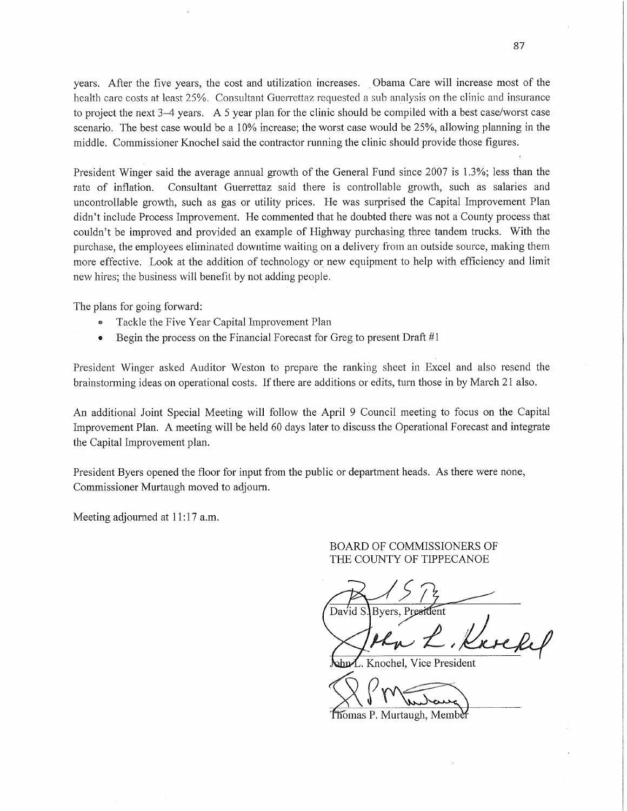years. After the five years, the cost and utilization increases. 'Obama Care will increase *most* of the health care costs at least 25%. Consultant Guerrettaz requested a sub analysis on the clinic and insurance to project the next 3—4 years. A 5 year plan for the clinic should be compiled with a best case/worst case scenario. The best case would be a 10% increase; the worst case would be 25%, allowing planning in the middle. Commissioner Knochel said the contractor running the clinic should provide those figures.

President Winger said the average annual growth of the General Fund since 2007 is 1.3%; less than the rate of inflation. Consultant Guerrettaz said there is controllable growth, such as salaries and uncontrollable growth, such as gas or utility prices. He was surprised the Capital Improvement Plan didn't include Process Improvement. He commented that he doubted there was not a County process that couldn't be improved and provided an example of Highway purchasing three tandem trucks. With the purchase, the employees eliminated downtime waiting on <sup>a</sup>delivery from an outside source, making them more effective. Look at the addition of technology or new equipment to help with efficiency and limit new hires; the business will benefit by not adding people.

The plans for going forward:

- «» Tackle the Five Year Capital Improvement Plan
- **0** Begin the process on the Financial Forecast for Greg to present Draft #1

President Winger asked Auditor Weston to prepare the ranking sheet in Excel and also resend the brainstorming ideas on operational costs. If there are additions or edits, turn those in by March 21 also.

An additional Joint Special Meeting will follow the April *9* Council meeting to focus on the Capital Improvement Plan. A meeting will be held 60 days later to discuss the Operational Forecast and integrate the Capital Improvement plan.

President Byers opened the floor for input from the public or department heads. As there were none, Commissioner Murtaugh moved to adjourn.

Meeting adjourned at **11:17** am.

## BOARD OF COMMISSIONERS OF THE COUNTY OF TIPPECANOE

 $R$ <sup>15 m</sup> David S. Byers, President

 $M_{\nu} \sim 10^{-1}$ 

Knochel, Vice President

 $\bigtimes$  Murdewe)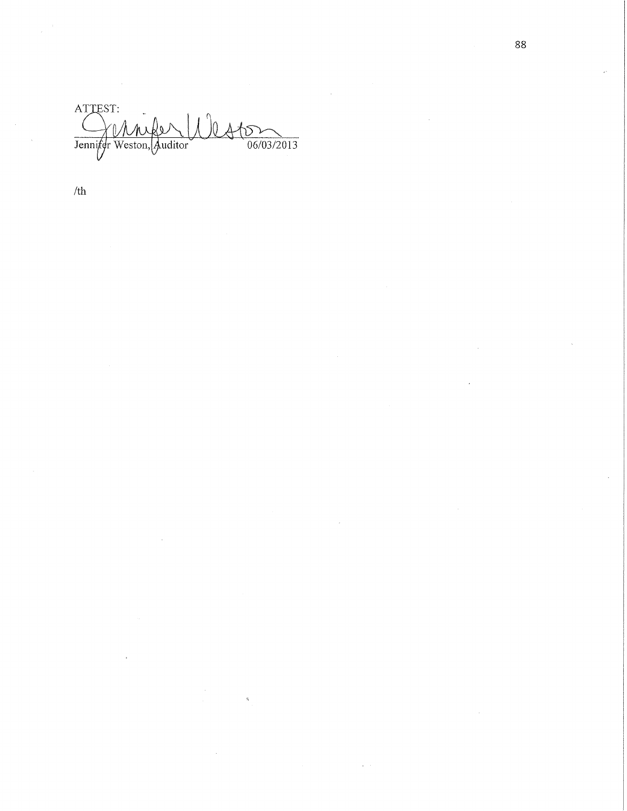ATTEST: Jennifer Weston,  $\frac{66}{06/03/2013}$ uditor<sup>)</sup>

 $\hat{\mathbf{z}}_i$ 

/th